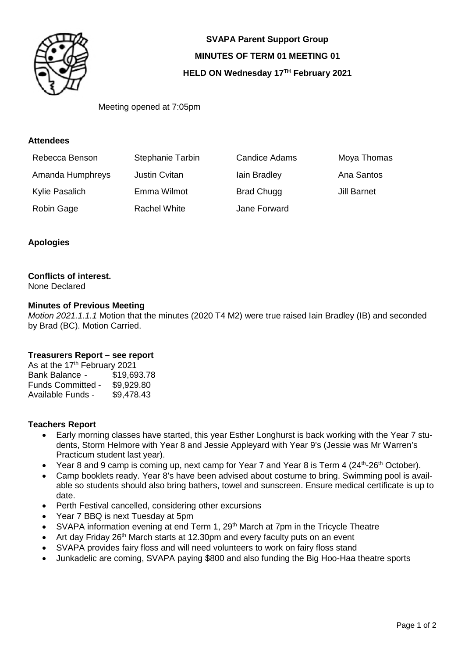

**SVAPA Parent Support Group MINUTES OF TERM 01 MEETING 01 HELD ON Wednesday 17TH February 2021** 

Meeting opened at 7:05pm

#### **Attendees**

| Rebecca Benson   | <b>Stephanie Tarbin</b> | <b>Candice Adams</b> | Moya Thomas |
|------------------|-------------------------|----------------------|-------------|
| Amanda Humphreys | <b>Justin Cvitan</b>    | lain Bradley         | Ana Santos  |
| Kylie Pasalich   | Emma Wilmot             | <b>Brad Chugg</b>    | Jill Barnet |
| Robin Gage       | Rachel White            | Jane Forward         |             |

#### **Apologies**

### **Conflicts of interest.**

None Declared

#### **Minutes of Previous Meeting**

*Motion 2021.1.1.1* Motion that the minutes (2020 T4 M2) were true raised Iain Bradley (IB) and seconded by Brad (BC). Motion Carried.

#### **Treasurers Report – see report**

As at the 17<sup>th</sup> February 2021 Bank Balance - \$19,693.78<br>Funds Committed - \$9,929.80 Funds Committed -Available Funds - \$9,478.43

#### **Teachers Report**

- Early morning classes have started, this year Esther Longhurst is back working with the Year 7 students, Storm Helmore with Year 8 and Jessie Appleyard with Year 9's (Jessie was Mr Warren's Practicum student last year).
- Year 8 and 9 camp is coming up, next camp for Year 7 and Year 8 is Term 4 ( $24<sup>th</sup>$ - $26<sup>th</sup>$  October).
- Camp booklets ready. Year 8's have been advised about costume to bring. Swimming pool is available so students should also bring bathers, towel and sunscreen. Ensure medical certificate is up to date.
- Perth Festival cancelled, considering other excursions
- Year 7 BBQ is next Tuesday at 5pm
- SVAPA information evening at end Term 1, 29<sup>th</sup> March at 7pm in the Tricycle Theatre
- Art day Friday 26<sup>th</sup> March starts at 12.30pm and every faculty puts on an event
- SVAPA provides fairy floss and will need volunteers to work on fairy floss stand
- Junkadelic are coming, SVAPA paying \$800 and also funding the Big Hoo-Haa theatre sports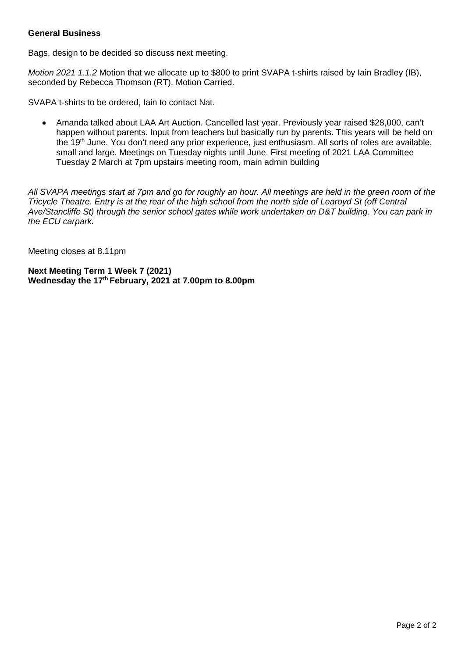#### **General Business**

Bags, design to be decided so discuss next meeting.

*Motion 2021 1.1.2* Motion that we allocate up to \$800 to print SVAPA t-shirts raised by Iain Bradley (IB), seconded by Rebecca Thomson (RT). Motion Carried.

SVAPA t-shirts to be ordered, Iain to contact Nat.

 Amanda talked about LAA Art Auction. Cancelled last year. Previously year raised \$28,000, can't happen without parents. Input from teachers but basically run by parents. This years will be held on the 19<sup>th</sup> June. You don't need any prior experience, just enthusiasm. All sorts of roles are available, small and large. Meetings on Tuesday nights until June. First meeting of 2021 LAA Committee Tuesday 2 March at 7pm upstairs meeting room, main admin building

*All SVAPA meetings start at 7pm and go for roughly an hour. All meetings are held in the green room of the Tricycle Theatre. Entry is at the rear of the high school from the north side of Learoyd St (off Central Ave/Stancliffe St) through the senior school gates while work undertaken on D&T building. You can park in the ECU carpark.* 

Meeting closes at 8.11pm

**Next Meeting Term 1 Week 7 (2021) Wednesday the 17th February, 2021 at 7.00pm to 8.00pm**